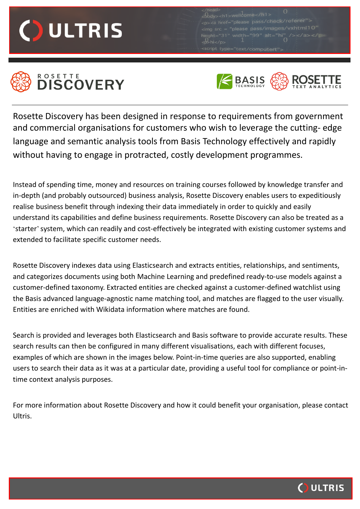**ULTRIS** 

 $_{\rm 1g}$  src = "please pass/images/vxhtml10



## **DISCOVERY**



Rosette Discovery has been designed in response to requirements from government and commercial organisations for customers who wish to leverage the cutting- edge language and semantic analysis tools from Basis Technology effectively and rapidly without having to engage in protracted, costly development programmes.

Instead of spending time, money and resources on training courses followed by knowledge transfer and in-depth (and probably outsourced) business analysis, Rosette Discovery enables users to expeditiously realise business benefit through indexing their data immediately in order to quickly and easily understand its capabilities and define business requirements. Rosette Discovery can also be treated as a 'starter' system, which can readily and cost-effectively be integrated with existing customer systems and extended to facilitate specific customer needs.

Rosette Discovery indexes data using Elasticsearch and extracts entities, relationships, and sentiments, and categorizes documents using both Machine Learning and predefined ready-to-use models against a customer-defined taxonomy. Extracted entities are checked against a customer-defined watchlist using the Basis advanced language-agnostic name matching tool, and matches are flagged to the user visually. Entities are enriched with Wikidata information where matches are found.

Search is provided and leverages both Elasticsearch and Basis software to provide accurate results. These search results can then be configured in many different visualisations, each with different focuses, examples of which are shown in the images below. Point-in-time queries are also supported, enabling users to search their data as it was at a particular date, providing a useful tool for compliance or point-intime context analysis purposes.

For more information about Rosette Discovery and how it could benefit your organisation, please contact Ultris.

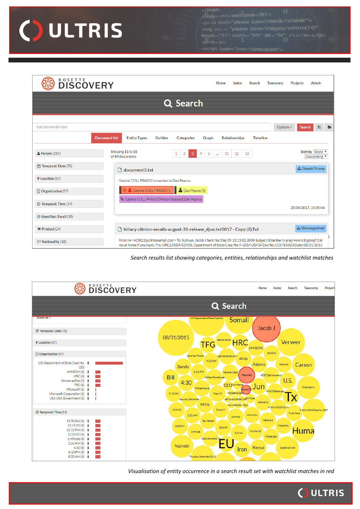

please pass/images/<br>width="99" alt="hi"<br>1

| <b>DISCOVERY</b>             |                                                                                                                                                                                                                                                                     | Home | Index                | Search          | <b>Taxonomy</b> | <b>Projects</b>      | Admin                         |
|------------------------------|---------------------------------------------------------------------------------------------------------------------------------------------------------------------------------------------------------------------------------------------------------------------|------|----------------------|-----------------|-----------------|----------------------|-------------------------------|
| Q Search                     |                                                                                                                                                                                                                                                                     |      |                      |                 |                 |                      |                               |
| <b>Type Keywords Here</b>    |                                                                                                                                                                                                                                                                     |      |                      |                 | Options >       | <b>Search</b>        | 日<br>E                        |
| <b>Document list</b>         | <b>Entity Types</b><br><b>Entities</b><br><b>Categories</b><br>Graph                                                                                                                                                                                                |      | <b>Relationships</b> | <b>Timeline</b> |                 |                      |                               |
| $\triangle$ Person (214)     | Showing 11 to 15<br>5<br>$\overline{2}$<br>4<br>1<br>3<br>of 64 documents                                                                                                                                                                                           | 11   | 12                   | 13              |                 |                      | Sort by Score<br>Descending v |
| th Temporal: Date (78)       | h document3.txt                                                                                                                                                                                                                                                     |      |                      |                 |                 |                      | <b>A</b> Donald Trump         |
| <b>Q</b> Location (67)       | Gabriel COLL PRADO is married to Dan Pearce.                                                                                                                                                                                                                        |      |                      |                 |                 |                      |                               |
| <b>D</b> Organization (57)   | Gabriel COLL PRADO (1) <b>&amp;</b> Dan Pearce (1)<br>% Gabriel COLL PRADO [Person Spouse] Dan Pearce                                                                                                                                                               |      |                      |                 |                 |                      |                               |
| <b>O</b> Temporal: Time (54) |                                                                                                                                                                                                                                                                     |      |                      |                 |                 | 25/06/2017, 10:35:44 |                               |
| @ Identifier: Email (30)     |                                                                                                                                                                                                                                                                     |      |                      |                 |                 |                      |                               |
| <b>Product</b> $(24)$        | hillary-clinton-emails-august-31-release_djvu.txt0017 - Copy (2).Txt                                                                                                                                                                                                |      |                      |                 |                 |                      | <b>A</b> Uncategorized        |
| $\approx$ Nationality (18)   | From: H < HDR22@clintonemail.com> To: Sullivan, Jacob J Sent: Sat Dec 05 12:15:02 2009 Subject: Eikenberry prep How's it going? Call<br>me at home if you want. Thx. UNCLASSIFIED U.S. Department of State Case No. F-2014-20439 Doc No. C05765923 Date: 08/31/2015 |      |                      |                 |                 |                      |                               |

## *Search results list showing categories, entities, relationships and watchlist matches*



*Visualisation of entity occurrence in a search result set with watchlist matches in red*

**ULTRIS** 

 $\bigcap$